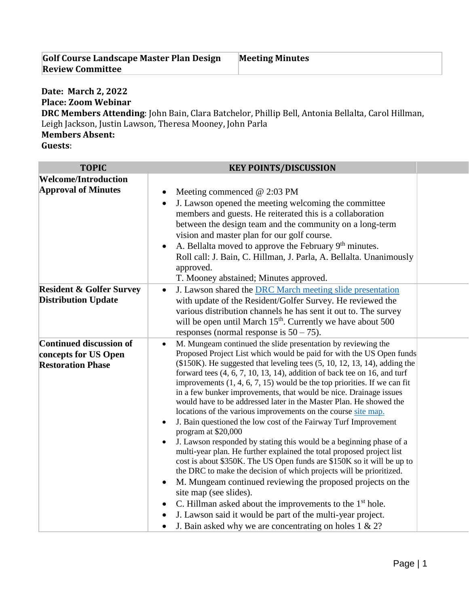| Golf Course Landscape Master Plan Design | <b>Meeting Minutes</b> |
|------------------------------------------|------------------------|
| <b>Review Committee</b>                  |                        |

## **Date: March 2, 2022 Place: Zoom Webinar**

**DRC Members Attending**: John Bain, Clara Batchelor, Phillip Bell, Antonia Bellalta, Carol Hillman, Leigh Jackson, Justin Lawson, Theresa Mooney, John Parla **Members Absent:**

**Guests**:

| <b>KEY POINTS/DISCUSSION</b>                                                                                                                                                                                                                                                                                                                                                                                                                                                                                                                                                                                                                                                                                                                                                                                                                                                                                                                                                                                                                                                                                                                                                                                                                                                                                                                                 |  |
|--------------------------------------------------------------------------------------------------------------------------------------------------------------------------------------------------------------------------------------------------------------------------------------------------------------------------------------------------------------------------------------------------------------------------------------------------------------------------------------------------------------------------------------------------------------------------------------------------------------------------------------------------------------------------------------------------------------------------------------------------------------------------------------------------------------------------------------------------------------------------------------------------------------------------------------------------------------------------------------------------------------------------------------------------------------------------------------------------------------------------------------------------------------------------------------------------------------------------------------------------------------------------------------------------------------------------------------------------------------|--|
|                                                                                                                                                                                                                                                                                                                                                                                                                                                                                                                                                                                                                                                                                                                                                                                                                                                                                                                                                                                                                                                                                                                                                                                                                                                                                                                                                              |  |
| Meeting commenced $@$ 2:03 PM<br>J. Lawson opened the meeting welcoming the committee<br>$\bullet$<br>members and guests. He reiterated this is a collaboration<br>between the design team and the community on a long-term<br>vision and master plan for our golf course.<br>A. Bellalta moved to approve the February $9th$ minutes.<br>Roll call: J. Bain, C. Hillman, J. Parla, A. Bellalta. Unanimously<br>approved.                                                                                                                                                                                                                                                                                                                                                                                                                                                                                                                                                                                                                                                                                                                                                                                                                                                                                                                                    |  |
| T. Mooney abstained; Minutes approved.                                                                                                                                                                                                                                                                                                                                                                                                                                                                                                                                                                                                                                                                                                                                                                                                                                                                                                                                                                                                                                                                                                                                                                                                                                                                                                                       |  |
| J. Lawson shared the DRC March meeting slide presentation<br>$\bullet$<br>with update of the Resident/Golfer Survey. He reviewed the<br>various distribution channels he has sent it out to. The survey<br>will be open until March 15 <sup>th</sup> . Currently we have about 500<br>responses (normal response is $50 - 75$ ).                                                                                                                                                                                                                                                                                                                                                                                                                                                                                                                                                                                                                                                                                                                                                                                                                                                                                                                                                                                                                             |  |
| M. Mungeam continued the slide presentation by reviewing the<br>$\bullet$<br>Proposed Project List which would be paid for with the US Open funds<br>$($150K)$ . He suggested that leveling tees $(5, 10, 12, 13, 14)$ , adding the<br>forward tees $(4, 6, 7, 10, 13, 14)$ , addition of back tee on 16, and turf<br>improvements $(1, 4, 6, 7, 15)$ would be the top priorities. If we can fit<br>in a few bunker improvements, that would be nice. Drainage issues<br>would have to be addressed later in the Master Plan. He showed the<br>locations of the various improvements on the course site map.<br>J. Bain questioned the low cost of the Fairway Turf Improvement<br>$\bullet$<br>program at \$20,000<br>J. Lawson responded by stating this would be a beginning phase of a<br>$\bullet$<br>multi-year plan. He further explained the total proposed project list<br>cost is about \$350K. The US Open funds are \$150K so it will be up to<br>the DRC to make the decision of which projects will be prioritized.<br>M. Mungeam continued reviewing the proposed projects on the<br>$\bullet$<br>site map (see slides).<br>C. Hillman asked about the improvements to the 1 <sup>st</sup> hole.<br>٠<br>J. Lawson said it would be part of the multi-year project.<br>J. Bain asked why we are concentrating on holes $1 \& 2?$<br>$\bullet$ |  |
|                                                                                                                                                                                                                                                                                                                                                                                                                                                                                                                                                                                                                                                                                                                                                                                                                                                                                                                                                                                                                                                                                                                                                                                                                                                                                                                                                              |  |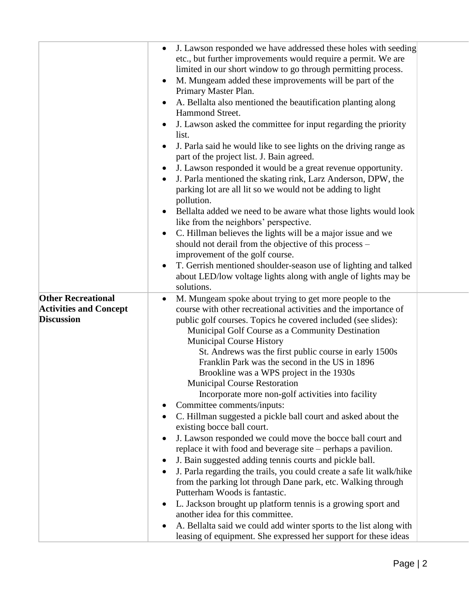|                                                                                 | J. Lawson responded we have addressed these holes with seeding<br>$\bullet$<br>etc., but further improvements would require a permit. We are<br>limited in our short window to go through permitting process.<br>M. Mungeam added these improvements will be part of the<br>$\bullet$<br>Primary Master Plan.<br>A. Bellalta also mentioned the beautification planting along<br>$\bullet$<br>Hammond Street.<br>J. Lawson asked the committee for input regarding the priority<br>list.<br>J. Parla said he would like to see lights on the driving range as<br>part of the project list. J. Bain agreed.<br>J. Lawson responded it would be a great revenue opportunity.<br>J. Parla mentioned the skating rink, Larz Anderson, DPW, the<br>$\bullet$<br>parking lot are all lit so we would not be adding to light<br>pollution.<br>Bellalta added we need to be aware what those lights would look<br>$\bullet$<br>like from the neighbors' perspective.<br>C. Hillman believes the lights will be a major issue and we<br>٠<br>should not derail from the objective of this process -<br>improvement of the golf course.<br>T. Gerrish mentioned shoulder-season use of lighting and talked<br>about LED/low voltage lights along with angle of lights may be<br>solutions.                          |  |
|---------------------------------------------------------------------------------|-----------------------------------------------------------------------------------------------------------------------------------------------------------------------------------------------------------------------------------------------------------------------------------------------------------------------------------------------------------------------------------------------------------------------------------------------------------------------------------------------------------------------------------------------------------------------------------------------------------------------------------------------------------------------------------------------------------------------------------------------------------------------------------------------------------------------------------------------------------------------------------------------------------------------------------------------------------------------------------------------------------------------------------------------------------------------------------------------------------------------------------------------------------------------------------------------------------------------------------------------------------------------------------------------------------|--|
| <b>Other Recreational</b><br><b>Activities and Concept</b><br><b>Discussion</b> | M. Mungeam spoke about trying to get more people to the<br>٠<br>course with other recreational activities and the importance of<br>public golf courses. Topics he covered included (see slides):<br>Municipal Golf Course as a Community Destination<br><b>Municipal Course History</b><br>St. Andrews was the first public course in early 1500s<br>Franklin Park was the second in the US in 1896<br>Brookline was a WPS project in the 1930s<br><b>Municipal Course Restoration</b><br>Incorporate more non-golf activities into facility<br>Committee comments/inputs:<br>C. Hillman suggested a pickle ball court and asked about the<br>existing bocce ball court.<br>J. Lawson responded we could move the bocce ball court and<br>٠<br>replace it with food and beverage site – perhaps a pavilion.<br>J. Bain suggested adding tennis courts and pickle ball.<br>J. Parla regarding the trails, you could create a safe lit walk/hike<br>from the parking lot through Dane park, etc. Walking through<br>Putterham Woods is fantastic.<br>L. Jackson brought up platform tennis is a growing sport and<br>another idea for this committee.<br>A. Bellalta said we could add winter sports to the list along with<br>$\bullet$<br>leasing of equipment. She expressed her support for these ideas |  |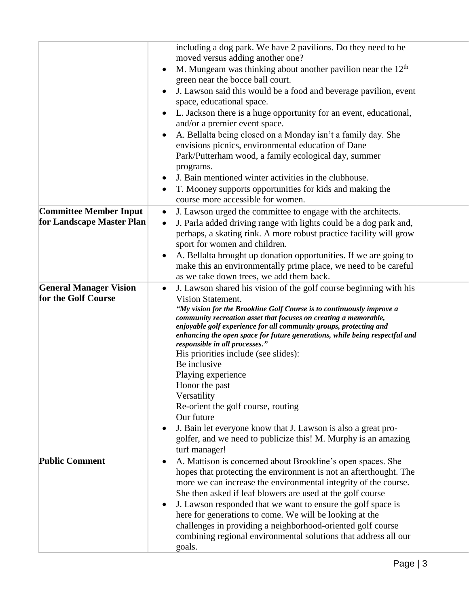|                                                            | including a dog park. We have 2 pavilions. Do they need to be<br>moved versus adding another one?<br>M. Mungeam was thinking about another pavilion near the $12th$<br>$\bullet$<br>green near the bocce ball court.<br>J. Lawson said this would be a food and beverage pavilion, event<br>space, educational space.<br>L. Jackson there is a huge opportunity for an event, educational,<br>and/or a premier event space.<br>A. Bellalta being closed on a Monday isn't a family day. She<br>envisions picnics, environmental education of Dane<br>Park/Putterham wood, a family ecological day, summer<br>programs.<br>J. Bain mentioned winter activities in the clubhouse.<br>T. Mooney supports opportunities for kids and making the<br>$\bullet$            |
|------------------------------------------------------------|---------------------------------------------------------------------------------------------------------------------------------------------------------------------------------------------------------------------------------------------------------------------------------------------------------------------------------------------------------------------------------------------------------------------------------------------------------------------------------------------------------------------------------------------------------------------------------------------------------------------------------------------------------------------------------------------------------------------------------------------------------------------|
|                                                            | course more accessible for women.                                                                                                                                                                                                                                                                                                                                                                                                                                                                                                                                                                                                                                                                                                                                   |
| <b>Committee Member Input</b><br>for Landscape Master Plan | J. Lawson urged the committee to engage with the architects.<br>$\bullet$<br>J. Parla added driving range with lights could be a dog park and,<br>$\bullet$<br>perhaps, a skating rink. A more robust practice facility will grow<br>sport for women and children.<br>A. Bellalta brought up donation opportunities. If we are going to<br>make this an environmentally prime place, we need to be careful<br>as we take down trees, we add them back.                                                                                                                                                                                                                                                                                                              |
| <b>General Manager Vision</b><br>for the Golf Course       | J. Lawson shared his vision of the golf course beginning with his<br>$\bullet$<br>Vision Statement.<br>"My vision for the Brookline Golf Course is to continuously improve a<br>community recreation asset that focuses on creating a memorable,<br>enjoyable golf experience for all community groups, protecting and<br>enhancing the open space for future generations, while being respectful and<br>responsible in all processes."<br>His priorities include (see slides):<br>Be inclusive<br>Playing experience<br>Honor the past<br>Versatility<br>Re-orient the golf course, routing<br>Our future<br>J. Bain let everyone know that J. Lawson is also a great pro-<br>٠<br>golfer, and we need to publicize this! M. Murphy is an amazing<br>turf manager! |
| <b>Public Comment</b>                                      | A. Mattison is concerned about Brookline's open spaces. She<br>hopes that protecting the environment is not an afterthought. The<br>more we can increase the environmental integrity of the course.<br>She then asked if leaf blowers are used at the golf course<br>J. Lawson responded that we want to ensure the golf space is<br>here for generations to come. We will be looking at the<br>challenges in providing a neighborhood-oriented golf course<br>combining regional environmental solutions that address all our<br>goals.                                                                                                                                                                                                                            |